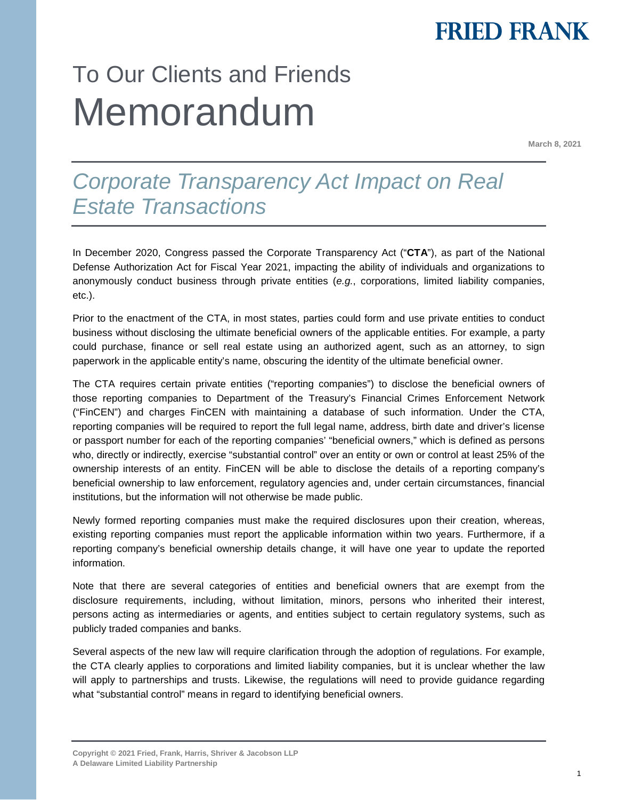## **FRIED FRANK**

# To Our Clients and Friends Memorandum

**March 8, 2021**

### *Corporate Transparency Act Impact on Real Estate Transactions*

In December 2020, Congress passed the Corporate Transparency Act ("**CTA**"), as part of the National Defense Authorization Act for Fiscal Year 2021, impacting the ability of individuals and organizations to anonymously conduct business through private entities (*e.g.*, corporations, limited liability companies, etc.).

Prior to the enactment of the CTA, in most states, parties could form and use private entities to conduct business without disclosing the ultimate beneficial owners of the applicable entities. For example, a party could purchase, finance or sell real estate using an authorized agent, such as an attorney, to sign paperwork in the applicable entity's name, obscuring the identity of the ultimate beneficial owner.

The CTA requires certain private entities ("reporting companies") to disclose the beneficial owners of those reporting companies to Department of the Treasury's Financial Crimes Enforcement Network ("FinCEN") and charges FinCEN with maintaining a database of such information. Under the CTA, reporting companies will be required to report the full legal name, address, birth date and driver's license or passport number for each of the reporting companies' "beneficial owners," which is defined as persons who, directly or indirectly, exercise "substantial control" over an entity or own or control at least 25% of the ownership interests of an entity. FinCEN will be able to disclose the details of a reporting company's beneficial ownership to law enforcement, regulatory agencies and, under certain circumstances, financial institutions, but the information will not otherwise be made public.

Newly formed reporting companies must make the required disclosures upon their creation, whereas, existing reporting companies must report the applicable information within two years. Furthermore, if a reporting company's beneficial ownership details change, it will have one year to update the reported information.

Note that there are several categories of entities and beneficial owners that are exempt from the disclosure requirements, including, without limitation, minors, persons who inherited their interest, persons acting as intermediaries or agents, and entities subject to certain regulatory systems, such as publicly traded companies and banks.

Several aspects of the new law will require clarification through the adoption of regulations. For example, the CTA clearly applies to corporations and limited liability companies, but it is unclear whether the law will apply to partnerships and trusts. Likewise, the regulations will need to provide guidance regarding what "substantial control" means in regard to identifying beneficial owners.